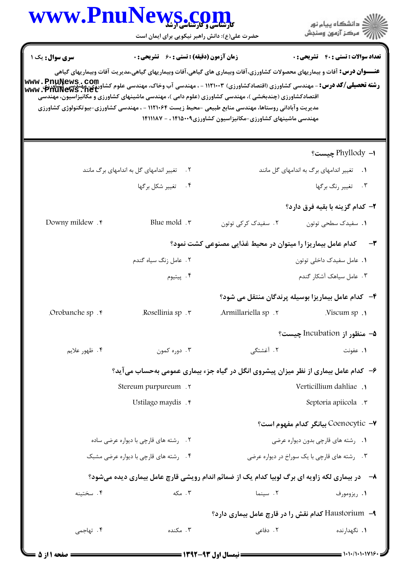| WWW.Pnur                                                                                                                                                                              | <b>کارشناسی و کارشناسی آرشد</b><br>حضرت علی(ع): دانش راهبر نیکویی برای ایمان است |                                                                                                                                                                                                                                                                                                                                                                                                                    | ≦ دانشڪاه پيام نور<br>√ مرڪز آزمون وسنڊش            |
|---------------------------------------------------------------------------------------------------------------------------------------------------------------------------------------|----------------------------------------------------------------------------------|--------------------------------------------------------------------------------------------------------------------------------------------------------------------------------------------------------------------------------------------------------------------------------------------------------------------------------------------------------------------------------------------------------------------|-----------------------------------------------------|
| <b>سری سوال :</b> یک ۱<br><b>رشته تحصیلی/کد درس:</b> - مهندسی کشاورزی (اقتصادکشاورزی) ۱۱۲۱۰۰۳ - ، مهندسی آب وخاک، مهندسی علوم کشاورزی، مهندسی کشاورز <b>ی</b><br>Www . PfluNews . net | <b>زمان آزمون (دقیقه) : تستی : 60 ٪ تشریحی : 0</b>                               | <b>عنـــوان درس:</b> آفات و بیماریهای محصولات کشاورزی،آفات وبیماری های گیاهی،آفات وبیماریهای گیاهی،مدیریت آفات وبیماریهای گیاهی<br>اقتصادکشاورزی (چندبخشی )، مهندسی کشاورزی (علوم دامی )، مهندسی ماشینهای کشاورزی و مکانیزاسیون، مهندسی<br>مدیریت وآبادانی روستاها، مهندسی منابع طبیعی -محیط زیست ۱۱۲۱۰۶۴ - ، مهندسی کشاورزی-بیوتکنولوژی کشاورزی<br>مهندسی ماشینهای کشاورزی-مکانیزاسیون کشاورزی۱۴۱۵۰۰۹ ، - ۱۴۱۱۱۸۷ | <b>تعداد سوالات : تستي : 40 - تشريحي : 0</b>        |
|                                                                                                                                                                                       |                                                                                  |                                                                                                                                                                                                                                                                                                                                                                                                                    | ا–  Phyllody چیست؟                                  |
|                                                                                                                                                                                       | تغییر اندامهای گل به اندامهای برگ مانند<br>$\cdot$ $\cdot$ $\cdot$               |                                                                                                                                                                                                                                                                                                                                                                                                                    | ٠١. تغيير اندامهاى برك به اندامهاى كل مانند         |
|                                                                                                                                                                                       | ۰۴ تغییر شکل برگها                                                               |                                                                                                                                                                                                                                                                                                                                                                                                                    | ۰۳ تغییر رنگ برگها                                  |
|                                                                                                                                                                                       |                                                                                  |                                                                                                                                                                                                                                                                                                                                                                                                                    | ۲– کدام گزینه با بقیه فرق دارد؟                     |
| Downy mildew . r                                                                                                                                                                      | Blue mold $\cdot$                                                                | ٢. سفیدک کرکی توتون                                                                                                                                                                                                                                                                                                                                                                                                | ٠١. سفيدک سطحي توتون                                |
|                                                                                                                                                                                       | کدام عامل بیماریزا را میتوان در محیط غذایی مصنوعی کشت نمود؟<br>-٣                |                                                                                                                                                                                                                                                                                                                                                                                                                    |                                                     |
|                                                                                                                                                                                       | ٢. عامل زنگ سياه گندم                                                            |                                                                                                                                                                                                                                                                                                                                                                                                                    | ٠١. عامل سفيدك داخلي توتون                          |
|                                                                                                                                                                                       | ۰۴ پيتيوم                                                                        |                                                                                                                                                                                                                                                                                                                                                                                                                    | ۰۳ عامل سیاهک آشکار گندم                            |
|                                                                                                                                                                                       |                                                                                  |                                                                                                                                                                                                                                                                                                                                                                                                                    | ۴-۔ کدام عامل بیماریزا بوسیله پرندگان منتقل می شود؟ |
| Orobanche sp.                                                                                                                                                                         | Rosellinia sp.                                                                   | Armillariella sp.                                                                                                                                                                                                                                                                                                                                                                                                  | Viscum sp.1                                         |
|                                                                                                                                                                                       |                                                                                  |                                                                                                                                                                                                                                                                                                                                                                                                                    | ۵− منظور از Incubation چیست؟                        |
| ۰۴ ظهور علايم                                                                                                                                                                         | ۰۳ دوره کمون                                                                     | ۰۲ آغشتگی                                                                                                                                                                                                                                                                                                                                                                                                          | ۰۱ عفونت                                            |
|                                                                                                                                                                                       |                                                                                  | ۶- کدام عامل بیماری از نظر میزان پیشروی انگل در گیاه جزء بیماری عمومی بهحساب می آید؟                                                                                                                                                                                                                                                                                                                               |                                                     |
|                                                                                                                                                                                       | Stereum purpureum.                                                               | Verticillium dahliae .                                                                                                                                                                                                                                                                                                                                                                                             |                                                     |
|                                                                                                                                                                                       | Ustilago maydis .                                                                |                                                                                                                                                                                                                                                                                                                                                                                                                    | Septoria apiicola .                                 |
|                                                                                                                                                                                       |                                                                                  |                                                                                                                                                                                                                                                                                                                                                                                                                    | Coenocytic -V بيانگر كدام مفهوم است؟                |
| ۲. رشته های قارچی با دیواره عرضی ساده                                                                                                                                                 |                                                                                  | ۰۱ , شته های قارچی بدون دیواره عرضی                                                                                                                                                                                                                                                                                                                                                                                |                                                     |
| ۰۴ رشته های قارچی با دیواره عرضی مشبک                                                                                                                                                 |                                                                                  | ۰۳ رشته های قارچی با یک سوراخ در دیواره عرضی                                                                                                                                                                                                                                                                                                                                                                       |                                                     |
|                                                                                                                                                                                       |                                                                                  | ۸− در بیماری لکه زاویه ای برگ لوبیا کدام یک از ضمائم اندام رویشی قارچ عامل بیماری دیده میشود؟                                                                                                                                                                                                                                                                                                                      |                                                     |
| ۰۴ سختينه                                                                                                                                                                             | ۰۳ مکه                                                                           | ٢. سينما                                                                                                                                                                                                                                                                                                                                                                                                           | ۰۱ ریزومورف                                         |
|                                                                                                                                                                                       |                                                                                  | Haustorium -٩ کدام نقش را در قارچ عامل بیماری دارد؟                                                                                                                                                                                                                                                                                                                                                                |                                                     |
| ۰۴ تهاجمی                                                                                                                                                                             | ۰۳ مکنده                                                                         | ۲. دفاعی                                                                                                                                                                                                                                                                                                                                                                                                           | 1. نگهدارنده                                        |
|                                                                                                                                                                                       |                                                                                  |                                                                                                                                                                                                                                                                                                                                                                                                                    |                                                     |

 $\blacksquare$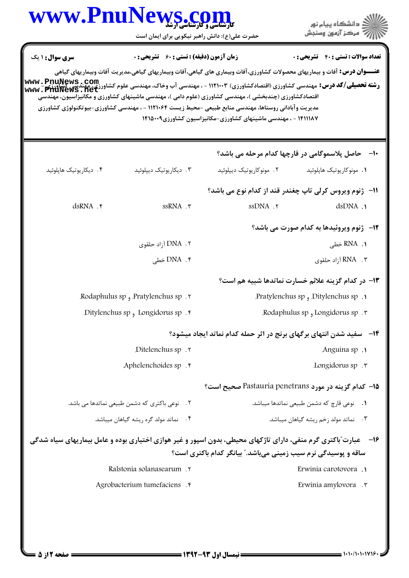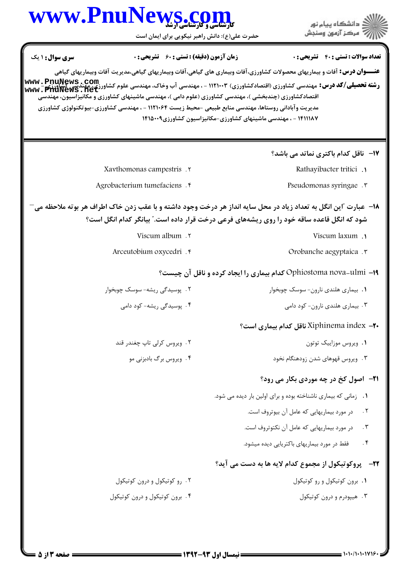| WWW.PnuNews.com                                                                                                                                                                                                |                                                    | ِ دانشڪاه پيا <sub>م</sub> نور<br>/∕ مرڪز آزمون وسنڊش                                                                                                                                                                                                                   |
|----------------------------------------------------------------------------------------------------------------------------------------------------------------------------------------------------------------|----------------------------------------------------|-------------------------------------------------------------------------------------------------------------------------------------------------------------------------------------------------------------------------------------------------------------------------|
|                                                                                                                                                                                                                | حضرت علی(ع): دانش راهبر نیکویی برای ایمان است      |                                                                                                                                                                                                                                                                         |
| سری سوال : ۱ یک                                                                                                                                                                                                | <b>زمان آزمون (دقیقه) : تستی : 60 ٪ تشریحی : 0</b> | <b>تعداد سوالات : تستي : 40 - تشريحي : 0</b>                                                                                                                                                                                                                            |
|                                                                                                                                                                                                                |                                                    | <b>عنـــوان درس:</b> آفات و بیماریهای محصولات کشاورزی،آفات وبیماری های گیاهی،آفات وبیماریهای گیاهی،مدیریت آفات وبیماریهای گیاهی                                                                                                                                         |
| اقتصادکشاورزی (چندبخشی )، مهندسی کشاورزی (علوم دامی )، مهندسی ماشینهای کشاورزی و مکانیزاسیون، مهندسی<br>مدیریت و آبادانی روستاها، مهندسی منابع طبیعی -محیط زیست ۱۱۲۱۰۶۴ - ، مهندسی کشاورزی-بیوتکنولوژی کشاورزی |                                                    | <b>رشته تحصیلی/کد درس: می</b> ندسی کشاورزی (اقتصادکشاورزی) ۱۱۲۱۰۰۳ - ، مهندسی آب وخاک، مهندسی علوم کشاورزی www <b>. PnuNews . Com</b><br>  www . PnuNeWS <b>. net</b><br>  www . PnuNeWS <b>. net</b><br>۱۴۱۱۱۸۷ - ، مهندسی ماشینهای کشاورزی-مکانیزاسیون کشاورزی۱۴۱۵۰۰۹ |
|                                                                                                                                                                                                                |                                                    | 17- ناقل کدام باکتری نماتد می باشد؟                                                                                                                                                                                                                                     |
| Xavthomonas campestris . Y                                                                                                                                                                                     |                                                    | Rathayibacter tritici.                                                                                                                                                                                                                                                  |
| Agrobacterium tumefaciens .                                                                                                                                                                                    |                                                    | Pseudomonas syringae . r                                                                                                                                                                                                                                                |
|                                                                                                                                                                                                                |                                                    | ۱۸− عبارت آاین انگل به تعداد زیاد در محل سایه انداز هر درخت وجود داشته و با عقب زدن خاک اطراف هر بوته ملاحظه می<br>شود که انگل قاعده ساقه خود را روی ریشههای فرعی درخت قرار داده است." بیانگر کدام انگل است؟                                                            |
|                                                                                                                                                                                                                | Viscum album . ٢                                   | Viscum laxum .                                                                                                                                                                                                                                                          |
| Arceutobium oxycedri . ۴                                                                                                                                                                                       |                                                    | Orobanche aegyptaica . ٣                                                                                                                                                                                                                                                |
|                                                                                                                                                                                                                |                                                    | Ophiostoma nova-ulmi -۱۹ کدام بیماری را ایجاد کرده و ناقل آن چیست؟                                                                                                                                                                                                      |
| ۲. پوسیدگی ریشه- سوسک چوبخوار                                                                                                                                                                                  |                                                    | ۰۱ بیماری هلندی نارون- سوسک چوبخوار                                                                                                                                                                                                                                     |
| ۴. یوسیدگی ریشه- کود دامی                                                                                                                                                                                      |                                                    | ۰۳ بیماری هلندی نارون- کود دامی                                                                                                                                                                                                                                         |
|                                                                                                                                                                                                                |                                                    | ۲۰– Xiphinema index ناقل کدام بیماری است؟                                                                                                                                                                                                                               |
| ٢. ویروس کرلی تاپ چغندر قند                                                                                                                                                                                    |                                                    | ۰۱ ویروس موزاییک توتون                                                                                                                                                                                                                                                  |
| ۰۴ ویروس برگ بادبزنی مو                                                                                                                                                                                        |                                                    | ۰۳ ویروس قهوهای شدن زودهنگام نخود                                                                                                                                                                                                                                       |
|                                                                                                                                                                                                                |                                                    | <b>۲۱-</b> اصول کخ در چه موردی بکار می رود؟                                                                                                                                                                                                                             |
|                                                                                                                                                                                                                |                                                    | ۰۱ زمانی که بیماری ناشناخته بوده و برای اولین بار دیده می شود.                                                                                                                                                                                                          |
|                                                                                                                                                                                                                |                                                    | در مورد بیماریهایی که عامل آن بیوتروف است.<br>$\cdot$ $\cdot$ $\cdot$                                                                                                                                                                                                   |
|                                                                                                                                                                                                                |                                                    | $\cdot$ $\mathsf{r}$<br>در مورد بیماریهایی که عامل آن نکتوتروف است.                                                                                                                                                                                                     |
|                                                                                                                                                                                                                |                                                    | $\cdot$ ۴<br>فقط در مورد بیماریهای باکتریایی دیده میشود.                                                                                                                                                                                                                |
|                                                                                                                                                                                                                |                                                    | <b>۲۲</b> -    پروکوتیکول از مجموع کدام لایه ها به دست می آید؟                                                                                                                                                                                                          |
| ۰۲ رو کوتیکول و درون کوتیکول                                                                                                                                                                                   |                                                    | ٠١. برون كوتيكول و رو كوتيكول                                                                                                                                                                                                                                           |
|                                                                                                                                                                                                                |                                                    |                                                                                                                                                                                                                                                                         |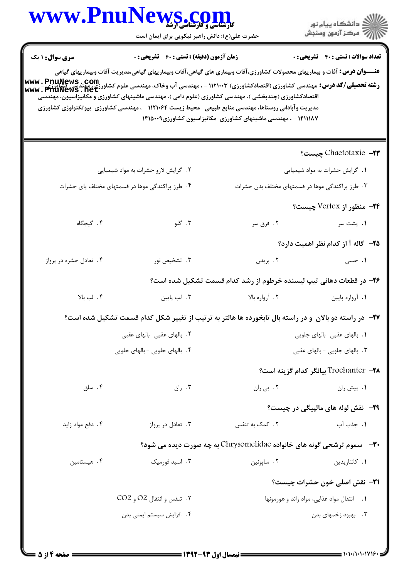## WWW.PnuNews.com

حضرت علی(ع): د<mark>انش راهبر نیکویی برای ایمان است</mark>

| <b>زمان آزمون (دقیقه) : تستی : 60 ٪ تشریحی : 0</b><br><b>تعداد سوالات : تستی : 40 قشریحی : 0</b><br><b>سری سوال :</b> ۱ یک<br><b>عنـــوان درس:</b> آفات و بیماریهای محصولات کشاورزی،آفات وبیماری های گیاهی،آفات وبیماریهای گیاهی،مدیریت آفات وبیماریهای گیاهی<br><b>رشته تحصیلی/کد درس: مهندسی کشاورزی (اقتصادکشاورزی) ۱۱۲۱۰۰۳ - ، مهندسی آب وخاک، مهندسی علوم کشاورزی، مهندسی کشاورز<br/>WWW . PNUNeWS . Net</b><br>اقتصادکشاورزی (چندبخشی )، مهندسی کشاورزی (علوم دامی )، مهندسی ماشینهای کشاورزی و مکانیزاسیون، مهندسی<br>مدیریت وآبادانی روستاها، مهندسی منابع طبیعی -محیط زیست ۱۱۲۱۰۶۴ - ، مهندسی کشاورزی-بیوتکنولوژی کشاورزی<br>۱۴۱۱۱۸۷ - ، مهندسی ماشینهای کشاورزی-مکانیزاسیون کشاورزی۱۴۱۵۰۰۹ |                                     |                |                                                                                                        |  |
|------------------------------------------------------------------------------------------------------------------------------------------------------------------------------------------------------------------------------------------------------------------------------------------------------------------------------------------------------------------------------------------------------------------------------------------------------------------------------------------------------------------------------------------------------------------------------------------------------------------------------------------------------------------------------------------------------|-------------------------------------|----------------|--------------------------------------------------------------------------------------------------------|--|
|                                                                                                                                                                                                                                                                                                                                                                                                                                                                                                                                                                                                                                                                                                      |                                     |                | Chaetotaxie –۲۳ چیست؟                                                                                  |  |
|                                                                                                                                                                                                                                                                                                                                                                                                                                                                                                                                                                                                                                                                                                      | ۲. گرایش لارو حشرات به مواد شیمیایی |                | ٠١ گرايش حشرات به مواد شيميايي                                                                         |  |
| ۴. طرز پراکندگی موها در قسمتهای مختلف پای حشرات                                                                                                                                                                                                                                                                                                                                                                                                                                                                                                                                                                                                                                                      |                                     |                | ۰۳ طرز پراکندگی موها در قسمتهای مختلف بدن حشرات                                                        |  |
|                                                                                                                                                                                                                                                                                                                                                                                                                                                                                                                                                                                                                                                                                                      |                                     |                | ۲۴– منظور از Vertex چیست؟                                                                              |  |
| ۴. گیجگاه                                                                                                                                                                                                                                                                                                                                                                                                                                                                                                                                                                                                                                                                                            | ۰۳ گلو                              | ۲. فرق سر      | ۰۱ پشت سر                                                                                              |  |
|                                                                                                                                                                                                                                                                                                                                                                                                                                                                                                                                                                                                                                                                                                      |                                     |                | ۲۵– گاله آ از کدام نظر اهمیت دارد؟                                                                     |  |
| ۰۴ تعادل حشره در پرواز                                                                                                                                                                                                                                                                                                                                                                                                                                                                                                                                                                                                                                                                               | ۰۳ تشخیص نور                        | ۰۲ بریدن       | ۱. حسی                                                                                                 |  |
|                                                                                                                                                                                                                                                                                                                                                                                                                                                                                                                                                                                                                                                                                                      |                                     |                | ۲۶– در قطعات دهانی تیپ لیسنده خرطوم از رشد کدام قسمت تشکیل شده است؟                                    |  |
| ۰۴ لب بالا                                                                                                                                                                                                                                                                                                                                                                                                                                                                                                                                                                                                                                                                                           | ۰۳ لب پایین                         | ۰۲ آرواره بالا | ١. أرواره پايين                                                                                        |  |
|                                                                                                                                                                                                                                                                                                                                                                                                                                                                                                                                                                                                                                                                                                      |                                     |                | ۲۷– در راسته دو بالان ًو در راسته بال تابخورده ها هالتر به ترتیب از تغییر شکل کدام قسمت تشکیل شده است؟ |  |
|                                                                                                                                                                                                                                                                                                                                                                                                                                                                                                                                                                                                                                                                                                      | ۲. بالهای عقبی- بالهای عقبی         |                | ۰۱ بالهای عقبی- بالهای جلویی                                                                           |  |
|                                                                                                                                                                                                                                                                                                                                                                                                                                                                                                                                                                                                                                                                                                      | ۴. بالهای جلویی - بالهای جلویی      |                | ۴ . بالهای جلویی - بالهای عقبی                                                                         |  |
|                                                                                                                                                                                                                                                                                                                                                                                                                                                                                                                                                                                                                                                                                                      |                                     |                | Trochanter –۲۸ بیانگر کدام گزینه است؟                                                                  |  |
| ۰۴ ساق                                                                                                                                                                                                                                                                                                                                                                                                                                                                                                                                                                                                                                                                                               | ۰۳ ران                              | ۰۲ پي ران      | <b>۰۱</b> پیش ران                                                                                      |  |
|                                                                                                                                                                                                                                                                                                                                                                                                                                                                                                                                                                                                                                                                                                      |                                     |                | <b>۲۹</b> -   نقش لوله های مالپیگی در چیست؟                                                            |  |
| ۰۴ دفع مواد زايد                                                                                                                                                                                                                                                                                                                                                                                                                                                                                                                                                                                                                                                                                     | ۰۳ تعادل در پرواز                   | ۲. کمک به تنفس | ١. جذب آب                                                                                              |  |
|                                                                                                                                                                                                                                                                                                                                                                                                                                                                                                                                                                                                                                                                                                      |                                     |                | ۳۰-   سموم ترشحی گونه های خانواده Chrysomelidae به چه صورت دیده می شود؟                                |  |
| ۰۴ هیستامین                                                                                                                                                                                                                                                                                                                                                                                                                                                                                                                                                                                                                                                                                          | ۰۳ اسید فورمیک                      | ٢. ساپونين     | ۰۱ کانتاریدین                                                                                          |  |
|                                                                                                                                                                                                                                                                                                                                                                                                                                                                                                                                                                                                                                                                                                      |                                     |                | <b>٣١</b> - نقش اصلي خون حشرات چيست؟                                                                   |  |
|                                                                                                                                                                                                                                                                                                                                                                                                                                                                                                                                                                                                                                                                                                      | ۲. تنفس و انتقال O2 و CO2           |                | ۰۱ انتقال مواد غذایی، مواد زائد و هورمونها                                                             |  |
|                                                                                                                                                                                                                                                                                                                                                                                                                                                                                                                                                                                                                                                                                                      | ۰۴ افزایش سیستم ایمنی بدن           |                | ۰۳ . بهبود زخمهای بدن                                                                                  |  |
|                                                                                                                                                                                                                                                                                                                                                                                                                                                                                                                                                                                                                                                                                                      |                                     |                |                                                                                                        |  |

ے<br>کارالاتھا دانشگاہ پیام نور<br>کارالاتھ مرکز آزمون وسنجش